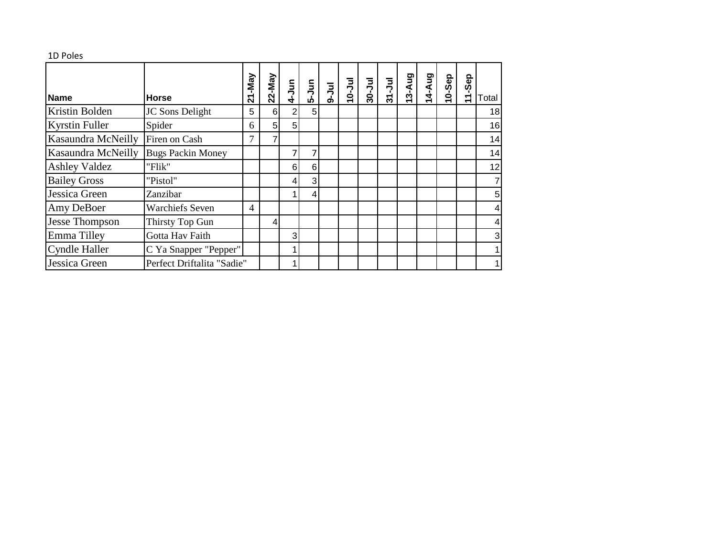| 1D Poles |
|----------|
|          |

| <b>Name</b>           | <b>Horse</b>               | -May<br><u>بر</u> | 22-May         | $4-Jun$        | $\begin{bmatrix} 1 \\ -2 \\ 0 \end{bmatrix}$ | $9-1$ ul | $10 -$ Jul | $30 -$ Jul | $31 - Jul$ | 3-Aug | 4-Aug | 10-Sep | Sep<br>$\frac{1}{\tau}$ | Total |
|-----------------------|----------------------------|-------------------|----------------|----------------|----------------------------------------------|----------|------------|------------|------------|-------|-------|--------|-------------------------|-------|
| Kristin Bolden        | JC Sons Delight            | 5                 | 6              | $\overline{2}$ | 5                                            |          |            |            |            |       |       |        |                         | 18    |
| <b>Kyrstin Fuller</b> | Spider                     | 6                 | 5 <sub>1</sub> | 5              |                                              |          |            |            |            |       |       |        |                         | 16    |
| Kasaundra McNeilly    | Firen on Cash              | 7                 | 7              |                |                                              |          |            |            |            |       |       |        |                         | 14    |
| Kasaundra McNeilly    | <b>Bugs Packin Money</b>   |                   |                | 7              |                                              |          |            |            |            |       |       |        |                         | 14    |
| <b>Ashley Valdez</b>  | "Flik"                     |                   |                | 6              | 6                                            |          |            |            |            |       |       |        |                         | 12    |
| <b>Bailey Gross</b>   | "Pistol"                   |                   |                | 4              | 3                                            |          |            |            |            |       |       |        |                         |       |
| Jessica Green         | Zanzibar                   |                   |                |                | 4                                            |          |            |            |            |       |       |        |                         | 5     |
| Amy DeBoer            | <b>Warchiefs Seven</b>     | $\overline{4}$    |                |                |                                              |          |            |            |            |       |       |        |                         | 4     |
| <b>Jesse Thompson</b> | Thirsty Top Gun            |                   | $\overline{4}$ |                |                                              |          |            |            |            |       |       |        |                         | 4     |
| Emma Tilley           | Gotta Hav Faith            |                   |                | 3              |                                              |          |            |            |            |       |       |        |                         | 3     |
| <b>Cyndle Haller</b>  | C Ya Snapper "Pepper"      |                   |                | 1              |                                              |          |            |            |            |       |       |        |                         |       |
| Jessica Green         | Perfect Driftalita "Sadie" |                   |                |                |                                              |          |            |            |            |       |       |        |                         |       |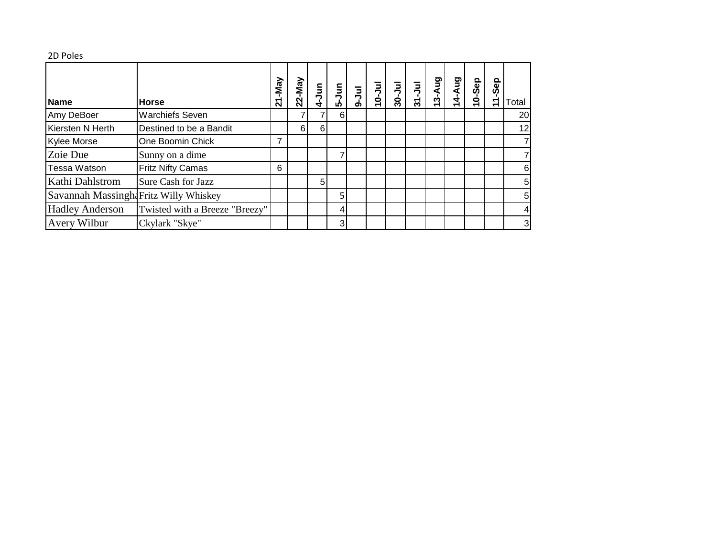## 2D Poles

| <b>Name</b>                           | <b>Horse</b>                   | 21-May | -May<br>$\overline{2}$ | $\overline{5}$<br>÷ | $\bar{5}$<br>ശ | $-1$ ul | $\frac{1}{2}$ | ミ<br>$30 -$ | ミ<br>$\frac{1}{3}$ | Aug<br>$13 -$ | <b>Aug</b><br>4 | 10-Sep | Sep<br>↽ | Total           |
|---------------------------------------|--------------------------------|--------|------------------------|---------------------|----------------|---------|---------------|-------------|--------------------|---------------|-----------------|--------|----------|-----------------|
| Amy DeBoer                            | <b>Warchiefs Seven</b>         |        |                        |                     | 6              |         |               |             |                    |               |                 |        |          | <b>20</b>       |
| Kiersten N Herth                      | Destined to be a Bandit        |        | 61                     | 6                   |                |         |               |             |                    |               |                 |        |          | 12 <sub>l</sub> |
| Kylee Morse                           | One Boomin Chick               | 7      |                        |                     |                |         |               |             |                    |               |                 |        |          |                 |
| Zoie Due                              | Sunny on a dime                |        |                        |                     |                |         |               |             |                    |               |                 |        |          |                 |
| Tessa Watson                          | <b>Fritz Nifty Camas</b>       | 6      |                        |                     |                |         |               |             |                    |               |                 |        |          | 6               |
| Kathi Dahlstrom                       | Sure Cash for Jazz             |        |                        | 5                   |                |         |               |             |                    |               |                 |        |          | 5               |
| Savannah Massingh Fritz Willy Whiskey |                                |        |                        |                     | 5.             |         |               |             |                    |               |                 |        |          | 5               |
| <b>Hadley Anderson</b>                | Twisted with a Breeze "Breezy" |        |                        |                     | 4              |         |               |             |                    |               |                 |        |          | 4               |
| Avery Wilbur                          | Ckylark "Skye"                 |        |                        |                     | 3 <sub>l</sub> |         |               |             |                    |               |                 |        |          | $\mathbf{3}$    |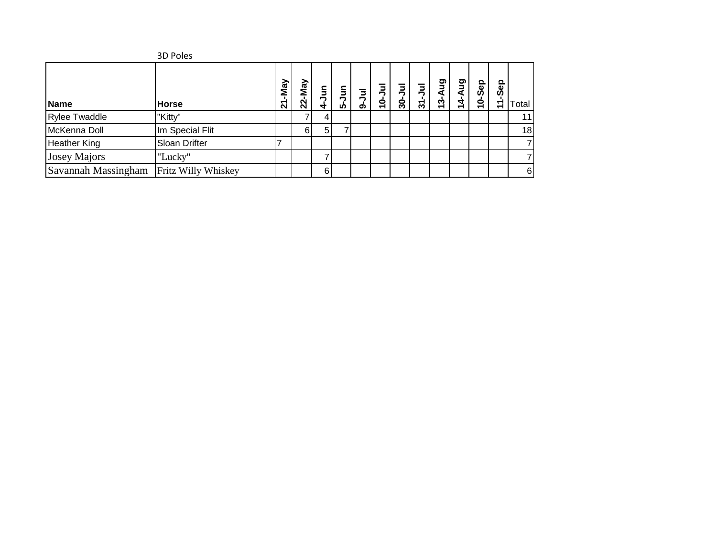|                     | 3D Poles            |        |        |                    |               |        |                         |               |               |                                           |             |                      |                         |       |
|---------------------|---------------------|--------|--------|--------------------|---------------|--------|-------------------------|---------------|---------------|-------------------------------------------|-------------|----------------------|-------------------------|-------|
| Name                | <b>Horse</b>        | 21-May | 22-May | $\frac{5}{2}$<br>4 | Ξ<br><u>ທ</u> | ョ<br>ග | $\overline{\mathbf{q}}$ | $\frac{6}{3}$ | $\frac{1}{3}$ | ත<br><u>ო</u><br>$\overline{\phantom{0}}$ | ත<br>a<br>4 | Sep<br>$\frac{1}{2}$ | Sep<br>$\frac{1}{\tau}$ | Total |
| Rylee Twaddle       | "Kitty"             |        |        |                    |               |        |                         |               |               |                                           |             |                      |                         | 11    |
| McKenna Doll        | Im Special Flit     |        | 6      | 5 <sup>1</sup>     |               |        |                         |               |               |                                           |             |                      |                         | 18    |
| <b>Heather King</b> | Sloan Drifter       |        |        |                    |               |        |                         |               |               |                                           |             |                      |                         |       |
| <b>Josey Majors</b> | "Lucky"             |        |        |                    |               |        |                         |               |               |                                           |             |                      |                         |       |
| Savannah Massingham | Fritz Willy Whiskey |        |        | 6                  |               |        |                         |               |               |                                           |             |                      |                         | 6     |